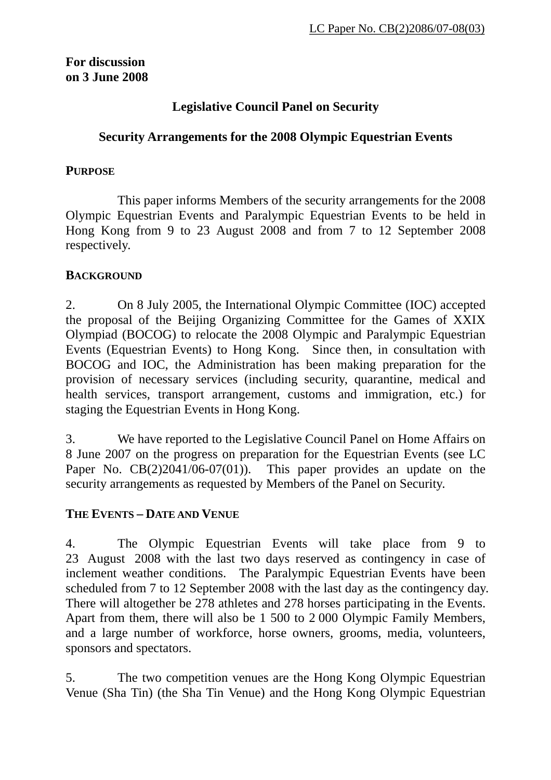## **For discussion on 3 June 2008**

# **Legislative Council Panel on Security**

## **Security Arrangements for the 2008 Olympic Equestrian Events**

### **PURPOSE**

1 This paper informs Members of the security arrangements for the 2008 Olympic Equestrian Events and Paralympic Equestrian Events to be held in Hong Kong from 9 to 23 August 2008 and from 7 to 12 September 2008 respectively.

## **BACKGROUND**

2. On 8 July 2005, the International Olympic Committee (IOC) accepted the proposal of the Beijing Organizing Committee for the Games of XXIX Olympiad (BOCOG) to relocate the 2008 Olympic and Paralympic Equestrian Events (Equestrian Events) to Hong Kong. Since then, in consultation with BOCOG and IOC, the Administration has been making preparation for the provision of necessary services (including security, quarantine, medical and health services, transport arrangement, customs and immigration, etc.) for staging the Equestrian Events in Hong Kong.

3. We have reported to the Legislative Council Panel on Home Affairs on 8 June 2007 on the progress on preparation for the Equestrian Events (see LC Paper No. CB(2)2041/06-07(01)). This paper provides an update on the security arrangements as requested by Members of the Panel on Security.

## **THE EVENTS – DATE AND VENUE**

4. The Olympic Equestrian Events will take place from 9 to 23 August 2008 with the last two days reserved as contingency in case of inclement weather conditions. The Paralympic Equestrian Events have been scheduled from 7 to 12 September 2008 with the last day as the contingency day. There will altogether be 278 athletes and 278 horses participating in the Events. Apart from them, there will also be 1 500 to 2 000 Olympic Family Members, and a large number of workforce, horse owners, grooms, media, volunteers, sponsors and spectators.

5. The two competition venues are the Hong Kong Olympic Equestrian Venue (Sha Tin) (the Sha Tin Venue) and the Hong Kong Olympic Equestrian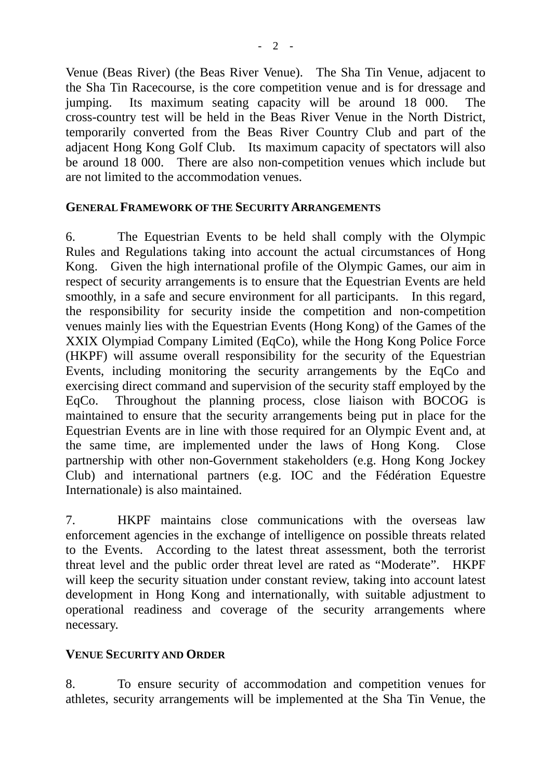Venue (Beas River) (the Beas River Venue). The Sha Tin Venue, adjacent to the Sha Tin Racecourse, is the core competition venue and is for dressage and jumping. Its maximum seating capacity will be around 18 000. The cross-country test will be held in the Beas River Venue in the North District, temporarily converted from the Beas River Country Club and part of the adjacent Hong Kong Golf Club. Its maximum capacity of spectators will also be around 18 000. There are also non-competition venues which include but are not limited to the accommodation venues.

#### **GENERAL FRAMEWORK OF THE SECURITY ARRANGEMENTS**

6. The Equestrian Events to be held shall comply with the Olympic Rules and Regulations taking into account the actual circumstances of Hong Kong. Given the high international profile of the Olympic Games, our aim in respect of security arrangements is to ensure that the Equestrian Events are held smoothly, in a safe and secure environment for all participants. In this regard, the responsibility for security inside the competition and non-competition venues mainly lies with the Equestrian Events (Hong Kong) of the Games of the XXIX Olympiad Company Limited (EqCo), while the Hong Kong Police Force (HKPF) will assume overall responsibility for the security of the Equestrian Events, including monitoring the security arrangements by the EqCo and exercising direct command and supervision of the security staff employed by the EqCo. Throughout the planning process, close liaison with BOCOG is maintained to ensure that the security arrangements being put in place for the Equestrian Events are in line with those required for an Olympic Event and, at the same time, are implemented under the laws of Hong Kong. Close partnership with other non-Government stakeholders (e.g. Hong Kong Jockey Club) and international partners (e.g. IOC and the Fédération Equestre Internationale) is also maintained.

7. HKPF maintains close communications with the overseas law enforcement agencies in the exchange of intelligence on possible threats related to the Events. According to the latest threat assessment, both the terrorist threat level and the public order threat level are rated as "Moderate". HKPF will keep the security situation under constant review, taking into account latest development in Hong Kong and internationally, with suitable adjustment to operational readiness and coverage of the security arrangements where necessary.

### **VENUE SECURITY AND ORDER**

8. To ensure security of accommodation and competition venues for athletes, security arrangements will be implemented at the Sha Tin Venue, the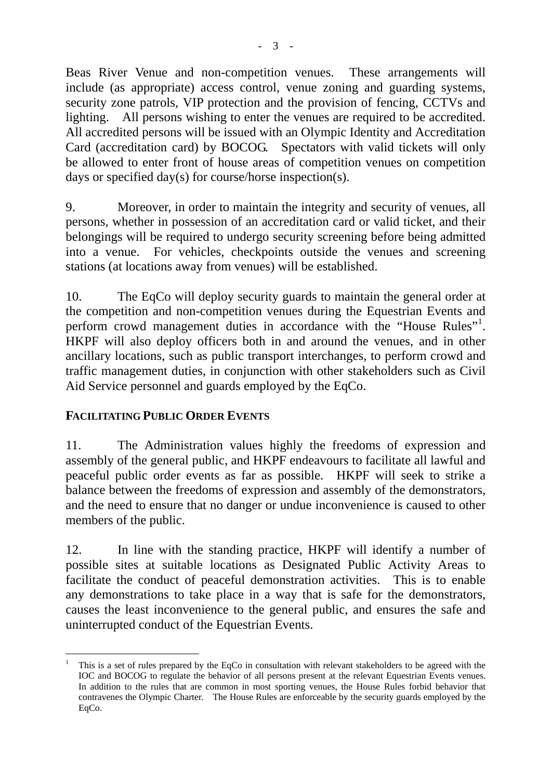Beas River Venue and non-competition venues. These arrangements will include (as appropriate) access control, venue zoning and guarding systems, security zone patrols, VIP protection and the provision of fencing, CCTVs and lighting. All persons wishing to enter the venues are required to be accredited. All accredited persons will be issued with an Olympic Identity and Accreditation Card (accreditation card) by BOCOG. Spectators with valid tickets will only be allowed to enter front of house areas of competition venues on competition days or specified day(s) for course/horse inspection(s).

9. Moreover, in order to maintain the integrity and security of venues, all persons, whether in possession of an accreditation card or valid ticket, and their belongings will be required to undergo security screening before being admitted into a venue. For vehicles, checkpoints outside the venues and screening stations (at locations away from venues) will be established.

10. The EqCo will deploy security guards to maintain the general order at the competition and non-competition venues during the Equestrian Events and perform crowd management duties in accordance with the "House Rules"<sup>1</sup>[.](#page-2-0) HKPF will also deploy officers both in and around the venues, and in other ancillary locations, such as public transport interchanges, to perform crowd and traffic management duties, in conjunction with other stakeholders such as Civil Aid Service personnel and guards employed by the EqCo.

## **FACILITATING PUBLIC ORDER EVENTS**

11. The Administration values highly the freedoms of expression and assembly of the general public, and HKPF endeavours to facilitate all lawful and peaceful public order events as far as possible. HKPF will seek to strike a balance between the freedoms of expression and assembly of the demonstrators, and the need to ensure that no danger or undue inconvenience is caused to other members of the public.

12. In line with the standing practice, HKPF will identify a number of possible sites at suitable locations as Designated Public Activity Areas to facilitate the conduct of peaceful demonstration activities. This is to enable any demonstrations to take place in a way that is safe for the demonstrators, causes the least inconvenience to the general public, and ensures the safe and uninterrupted conduct of the Equestrian Events.

<span id="page-2-0"></span>l 1 This is a set of rules prepared by the EqCo in consultation with relevant stakeholders to be agreed with the IOC and BOCOG to regulate the behavior of all persons present at the relevant Equestrian Events venues. In addition to the rules that are common in most sporting venues, the House Rules forbid behavior that contravenes the Olympic Charter. The House Rules are enforceable by the security guards employed by the EqCo.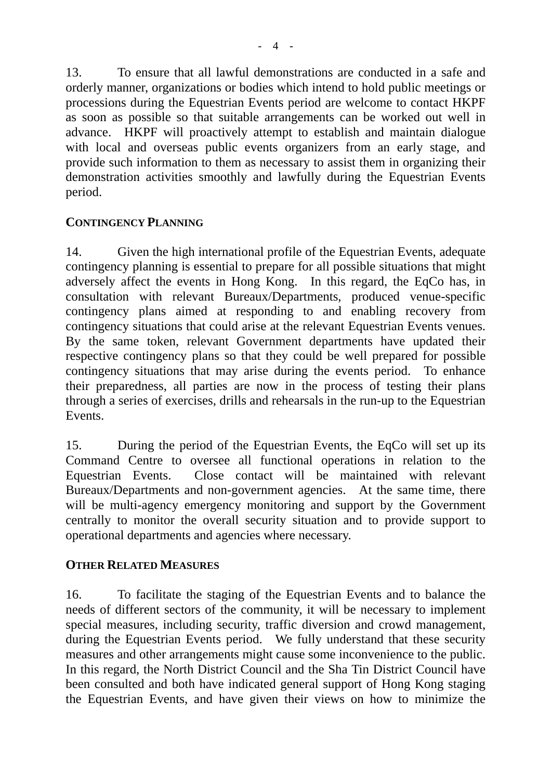13. To ensure that all lawful demonstrations are conducted in a safe and orderly manner, organizations or bodies which intend to hold public meetings or processions during the Equestrian Events period are welcome to contact HKPF as soon as possible so that suitable arrangements can be worked out well in advance. HKPF will proactively attempt to establish and maintain dialogue with local and overseas public events organizers from an early stage, and provide such information to them as necessary to assist them in organizing their demonstration activities smoothly and lawfully during the Equestrian Events period.

## **CONTINGENCY PLANNING**

14. Given the high international profile of the Equestrian Events, adequate contingency planning is essential to prepare for all possible situations that might adversely affect the events in Hong Kong. In this regard, the EqCo has, in consultation with relevant Bureaux/Departments, produced venue-specific contingency plans aimed at responding to and enabling recovery from contingency situations that could arise at the relevant Equestrian Events venues. By the same token, relevant Government departments have updated their respective contingency plans so that they could be well prepared for possible contingency situations that may arise during the events period. To enhance their preparedness, all parties are now in the process of testing their plans through a series of exercises, drills and rehearsals in the run-up to the Equestrian Events.

15. During the period of the Equestrian Events, the EqCo will set up its Command Centre to oversee all functional operations in relation to the Equestrian Events. Close contact will be maintained with relevant Bureaux/Departments and non-government agencies. At the same time, there will be multi-agency emergency monitoring and support by the Government centrally to monitor the overall security situation and to provide support to operational departments and agencies where necessary.

### **OTHER RELATED MEASURES**

16. To facilitate the staging of the Equestrian Events and to balance the needs of different sectors of the community, it will be necessary to implement special measures, including security, traffic diversion and crowd management, during the Equestrian Events period. We fully understand that these security measures and other arrangements might cause some inconvenience to the public. In this regard, the North District Council and the Sha Tin District Council have been consulted and both have indicated general support of Hong Kong staging the Equestrian Events, and have given their views on how to minimize the